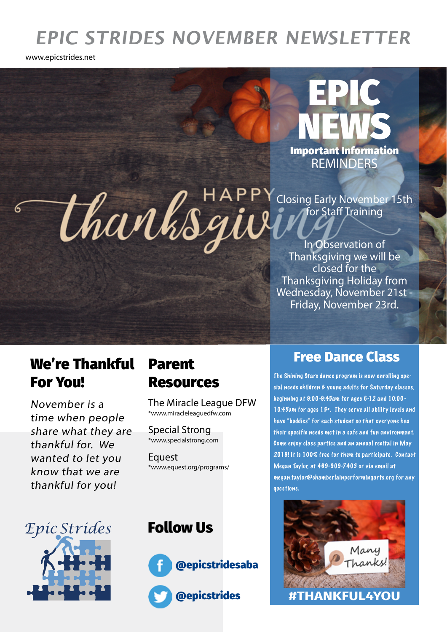# **EPIC STRIDES NOVEMBER NEWSLETTER**

www.epicstrides.net

REMINDERS Important Information

EPIC

NEWS

thanksgie Closing Early November 15th for Staff Training

In Observation of Thanksgiving we will be closed for the Thanksgiving Holiday from Wednesday, November 21st - Friday, November 23rd.

### We're Thankful For You!

November is a time when people share what they are thankful for. We wanted to let you know that we are thankful for you!

# Resources

The Miracle League DFW \*www.miracleleaguedfw.com

Special Strong \*www.specialstrong.com

**Equest** \*www.equest.org/programs/

## Parent Free Dance Class

The Shining Stars dance program is now enrolling special needs children & young adults for Saturday classes, beginning at 9:00-9:45am for ages 6-12 and 10:00- 10:45am for ages 13+. They ser ve all ability levels and have "buddies" for each student so that everyone has their specific needs met in a safe and fun environment. Come enjoy class parties and an annual recital in May 2019! It is 100% free for them to participate. Contact Megan Taylor, at 469-909-7403 or via email at megan.taylor@chamberlainperformingarts.org for any questions.



#### Follow Us